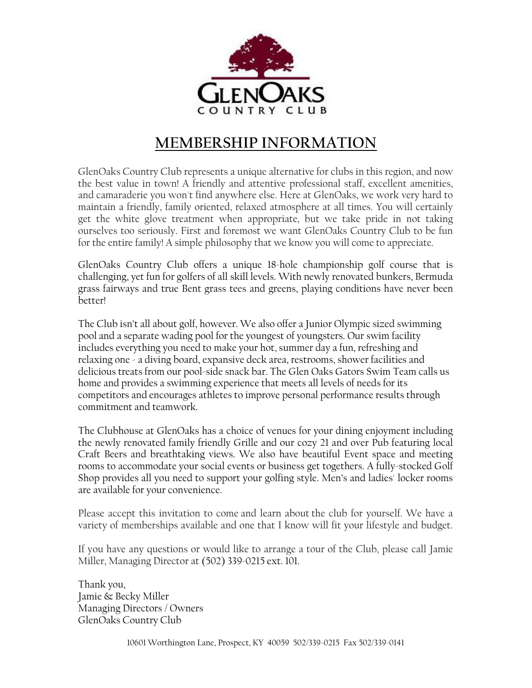

## MEMBERSHIP INFORMATION

GlenOaks Country Club represents a unique alternative for clubs in this region, and now the best value in town! A friendly and attentive professional staff, excellent amenities, and camaraderie you won't find anywhere else. Here at GlenOaks, we work very hard to maintain a friendly, family oriented, relaxed atmosphere at all times. You will certainly get the white glove treatment when appropriate, but we take pride in not taking ourselves too seriously. First and foremost we want GlenOaks Country Club to be fun for the entire family! A simple philosophy that we know you will come to appreciate.

GlenOaks Country Club offers a unique 18-hole championship golf course that is challenging, yet fun for golfers of all skill levels. With newly renovated bunkers, Bermuda grass fairways and true Bent grass tees and greens, playing conditions have never been better!

The Club isn't all about golf, however. We also offer a Junior Olympic sized swimming pool and a separate wading pool for the youngest of youngsters. Our swim facility includes everything you need to make your hot, summer day a fun, refreshing and relaxing one - a diving board, expansive deck area, restrooms, shower facilities and delicious treats from our pool-side snack bar. The Glen Oaks Gators Swim Team calls us home and provides a swimming experience that meets all levels of needs for its competitors and encourages athletes to improve personal performance results through commitment and teamwork.

The Clubhouse at GlenOaks has a choice of venues for your dining enjoyment including the newly renovated family friendly Grille and our cozy 21 and over Pub featuring local Craft Beers and breathtaking views. We also have beautiful Event space and meeting rooms to accommodate your social events or business get togethers. A fully-stocked Golf Shop provides all you need to support your golfing style. Men's and ladies' locker rooms are available for your convenience.

Please accept this invitation to come and learn about the club for yourself. We have a variety of memberships available and one that I know will fit your lifestyle and budget.

If you have any questions or would like to arrange a tour of the Club, please call Jamie Miller, Managing Director at (502) 339-0215 ext. 101.

Thank you, Jamie & Becky Miller Managing Directors / Owners GlenOaks Country Club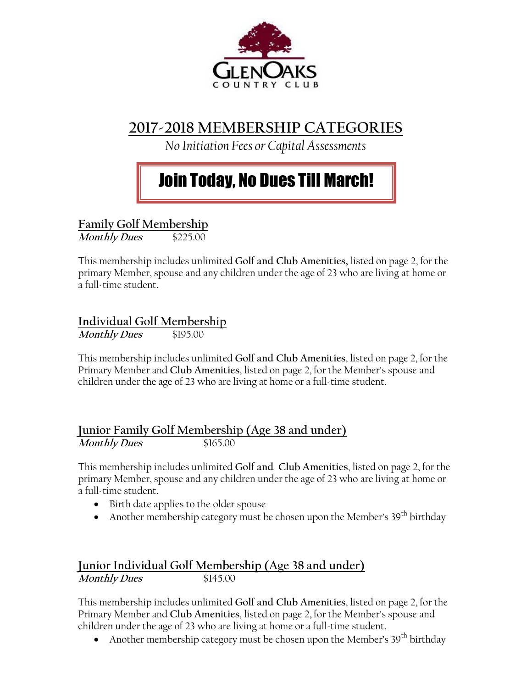

# 2017-2018 MEMBERSHIP CATEGORIES

No Initiation Fees or Capital Assessments

# Join Today, No Dues Till March!

Family Golf Membership

Monthly Dues \$225.00

This membership includes unlimited Golf and Club Amenities, listed on page 2, for the primary Member, spouse and any children under the age of 23 who are living at home or a full-time student.

### Individual Golf Membership

Monthly Dues \$195.00

This membership includes unlimited Golf and Club Amenities, listed on page 2, for the Primary Member and Club Amenities, listed on page 2, for the Member's spouse and children under the age of 23 who are living at home or a full-time student.

#### Junior Family Golf Membership (Age 38 and under) Monthly Dues \$165.00

This membership includes unlimited Golf and Club Amenities, listed on page 2, for the primary Member, spouse and any children under the age of 23 who are living at home or a full-time student.

- Birth date applies to the older spouse
- Another membership category must be chosen upon the Member's  $39<sup>th</sup>$  birthday

#### Junior Individual Golf Membership (Age 38 and under) Monthly Dues \$145.00

This membership includes unlimited Golf and Club Amenities, listed on page 2, for the Primary Member and Club Amenities, listed on page 2, for the Member's spouse and children under the age of 23 who are living at home or a full-time student.

• Another membership category must be chosen upon the Member's  $39<sup>th</sup>$  birthday